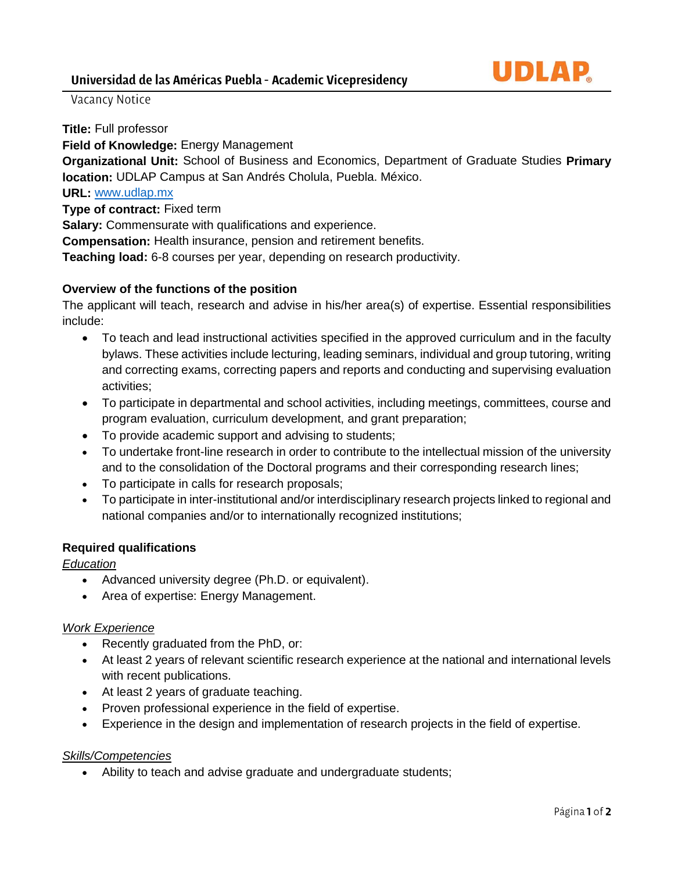Vacancy Notice

**Title:** Full professor

**Field of Knowledge:** Energy Management

**Organizational Unit:** School of Business and Economics, Department of Graduate Studies **Primary location:** UDLAP Campus at San Andrés Cholula, Puebla. México.

# **URL:** [www.udlap.mx](http://www.udlap.mx/)

**Type of contract:** Fixed term

**Salary:** Commensurate with qualifications and experience.

**Compensation:** Health insurance, pension and retirement benefits.

**Teaching load:** 6-8 courses per year, depending on research productivity.

## **Overview of the functions of the position**

The applicant will teach, research and advise in his/her area(s) of expertise. Essential responsibilities include:

- To teach and lead instructional activities specified in the approved curriculum and in the faculty bylaws. These activities include lecturing, leading seminars, individual and group tutoring, writing and correcting exams, correcting papers and reports and conducting and supervising evaluation activities;
- To participate in departmental and school activities, including meetings, committees, course and program evaluation, curriculum development, and grant preparation;
- To provide academic support and advising to students;
- To undertake front-line research in order to contribute to the intellectual mission of the university and to the consolidation of the Doctoral programs and their corresponding research lines;
- To participate in calls for research proposals;
- To participate in inter-institutional and/or interdisciplinary research projects linked to regional and national companies and/or to internationally recognized institutions;

# **Required qualifications**

## *Education*

- Advanced university degree (Ph.D. or equivalent).
- Area of expertise: Energy Management.

### *Work Experience*

- Recently graduated from the PhD, or:
- At least 2 years of relevant scientific research experience at the national and international levels with recent publications.
- At least 2 years of graduate teaching.
- Proven professional experience in the field of expertise.
- Experience in the design and implementation of research projects in the field of expertise.

# *Skills/Competencies*

• Ability to teach and advise graduate and undergraduate students;